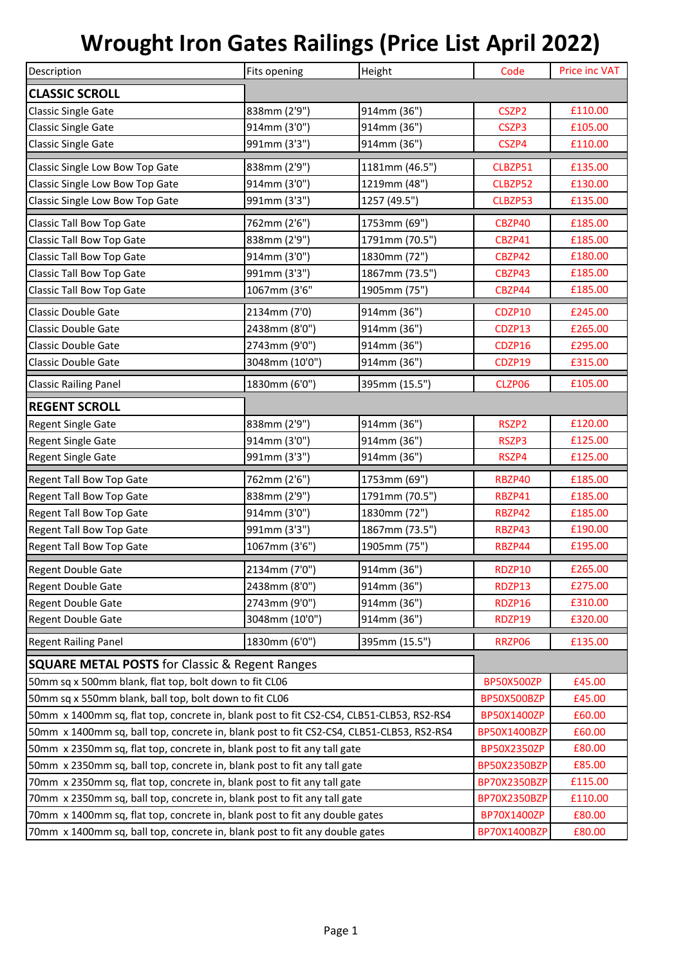| Description                                                                              | Fits opening   | Height         | Code                | <b>Price inc VAT</b> |
|------------------------------------------------------------------------------------------|----------------|----------------|---------------------|----------------------|
| <b>CLASSIC SCROLL</b>                                                                    |                |                |                     |                      |
| <b>Classic Single Gate</b>                                                               | 838mm (2'9")   | 914mm (36")    | CSZP <sub>2</sub>   | £110.00              |
| <b>Classic Single Gate</b>                                                               | 914mm (3'0")   | 914mm (36")    | CSZP3               | £105.00              |
| <b>Classic Single Gate</b>                                                               | 991mm (3'3")   | 914mm (36")    | CSZP4               | £110.00              |
| Classic Single Low Bow Top Gate                                                          | 838mm (2'9")   | 1181mm (46.5") | CLBZP51             | £135.00              |
| Classic Single Low Bow Top Gate                                                          | 914mm (3'0")   | 1219mm (48")   | CLBZP52             | £130.00              |
| Classic Single Low Bow Top Gate                                                          | 991mm (3'3")   | 1257 (49.5")   | CLBZP53             | £135.00              |
| Classic Tall Bow Top Gate                                                                | 762mm (2'6")   | 1753mm (69")   | CBZP40              | £185.00              |
| Classic Tall Bow Top Gate                                                                | 838mm (2'9")   | 1791mm (70.5") | CBZP41              | £185.00              |
| Classic Tall Bow Top Gate                                                                | 914mm (3'0")   | 1830mm (72")   | CBZP42              | £180.00              |
| Classic Tall Bow Top Gate                                                                | 991mm (3'3")   | 1867mm (73.5") | CBZP43              | £185.00              |
| Classic Tall Bow Top Gate                                                                | 1067mm (3'6"   | 1905mm (75")   | CBZP44              | £185.00              |
| <b>Classic Double Gate</b>                                                               | 2134mm (7'0)   | 914mm (36")    | CDZP10              | £245.00              |
| <b>Classic Double Gate</b>                                                               | 2438mm (8'0")  | 914mm (36")    | CDZP13              | £265.00              |
| <b>Classic Double Gate</b>                                                               | 2743mm (9'0")  | 914mm (36")    | CDZP16              | £295.00              |
| <b>Classic Double Gate</b>                                                               | 3048mm (10'0") | 914mm (36")    | CDZP19              | £315.00              |
| <b>Classic Railing Panel</b>                                                             | 1830mm (6'0")  | 395mm (15.5")  | CLZP06              | £105.00              |
| <b>REGENT SCROLL</b>                                                                     |                |                |                     |                      |
| Regent Single Gate                                                                       | 838mm (2'9")   | 914mm (36")    | RSZP2               | £120.00              |
| <b>Regent Single Gate</b>                                                                | 914mm (3'0")   | 914mm (36")    | RSZP3               | £125.00              |
| Regent Single Gate                                                                       | 991mm (3'3")   | 914mm (36")    | RSZP4               | £125.00              |
| Regent Tall Bow Top Gate                                                                 | 762mm (2'6")   | 1753mm (69")   | RBZP40              | £185.00              |
| Regent Tall Bow Top Gate                                                                 | 838mm (2'9")   | 1791mm (70.5") | RBZP41              | £185.00              |
| <b>Regent Tall Bow Top Gate</b>                                                          | 914mm (3'0")   | 1830mm (72")   | RBZP42              | £185.00              |
| <b>Regent Tall Bow Top Gate</b>                                                          | 991mm (3'3")   | 1867mm (73.5") | RBZP43              | £190.00              |
| Regent Tall Bow Top Gate                                                                 | 1067mm (3'6")  | 1905mm (75")   | RBZP44              | £195.00              |
| Regent Double Gate                                                                       | 2134mm (7'0")  | 914mm (36")    | RDZP10              | £265.00              |
| <b>Regent Double Gate</b>                                                                | 2438mm (8'0")  | 914mm (36")    | RDZP13              | £275.00              |
| <b>Regent Double Gate</b>                                                                | 2743mm (9'0")  | 914mm (36")    | RDZP16              | £310.00              |
| <b>Regent Double Gate</b>                                                                | 3048mm (10'0") | 914mm (36")    | RDZP19              | £320.00              |
| <b>Regent Railing Panel</b>                                                              | 1830mm (6'0")  | 395mm (15.5")  | RRZP06              | £135.00              |
| <b>SQUARE METAL POSTS</b> for Classic & Regent Ranges                                    |                |                |                     |                      |
| 50mm sq x 500mm blank, flat top, bolt down to fit CL06                                   |                |                | <b>BP50X500ZP</b>   | £45.00               |
| 50mm sq x 550mm blank, ball top, bolt down to fit CL06                                   |                |                | <b>BP50X500BZP</b>  | £45.00               |
| 50mm x 1400mm sq, flat top, concrete in, blank post to fit CS2-CS4, CLB51-CLB53, RS2-RS4 |                |                | BP50X1400ZP         | £60.00               |
| 50mm x 1400mm sq, ball top, concrete in, blank post to fit CS2-CS4, CLB51-CLB53, RS2-RS4 |                |                | <b>BP50X1400BZP</b> | £60.00               |
| 50mm x 2350mm sq, flat top, concrete in, blank post to fit any tall gate                 |                |                | BP50X2350ZP         | £80.00               |
| 50mm x 2350mm sq, ball top, concrete in, blank post to fit any tall gate                 |                |                | <b>BP50X2350BZP</b> | £85.00               |
| 70mm x 2350mm sq, flat top, concrete in, blank post to fit any tall gate                 |                |                | BP70X2350BZP        | £115.00              |
| 70mm x 2350mm sq, ball top, concrete in, blank post to fit any tall gate                 |                |                | <b>BP70X2350BZP</b> | £110.00              |
| 70mm x 1400mm sq, flat top, concrete in, blank post to fit any double gates              |                |                | BP70X1400ZP         | £80.00               |
| 70mm x 1400mm sq, ball top, concrete in, blank post to fit any double gates              |                |                | BP70X1400BZP        | £80.00               |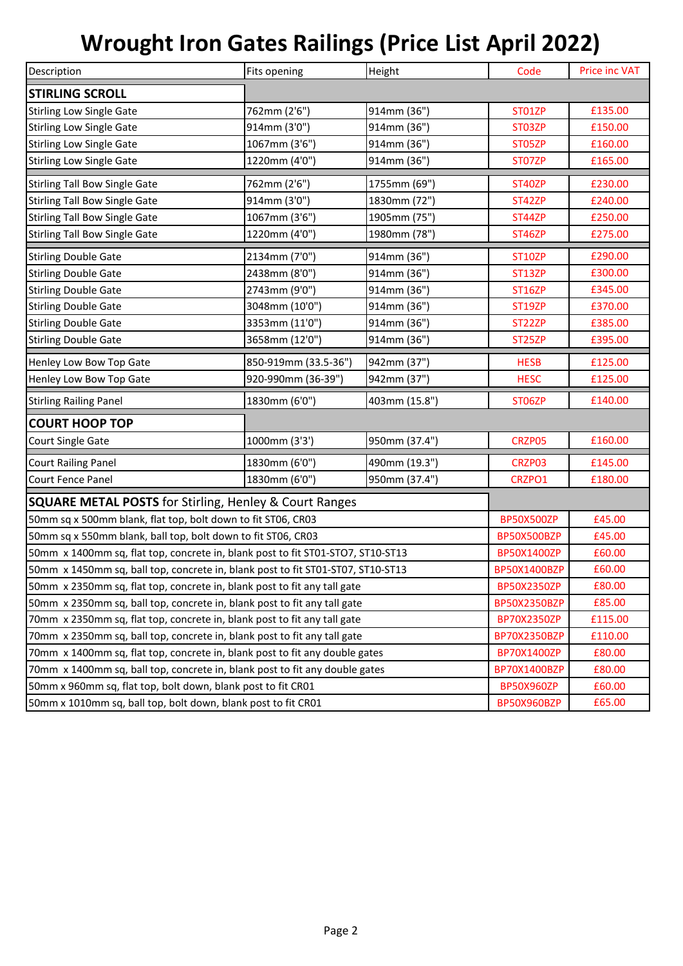| Description                                                                     | Fits opening         | Height        | Code                | <b>Price inc VAT</b> |
|---------------------------------------------------------------------------------|----------------------|---------------|---------------------|----------------------|
| <b>STIRLING SCROLL</b>                                                          |                      |               |                     |                      |
| <b>Stirling Low Single Gate</b>                                                 | 762mm (2'6")         | 914mm (36")   | ST01ZP              | £135.00              |
| <b>Stirling Low Single Gate</b>                                                 | 914mm (3'0")         | 914mm (36")   | ST03ZP              | £150.00              |
| <b>Stirling Low Single Gate</b>                                                 | 1067mm (3'6")        | 914mm (36")   | ST05ZP              | £160.00              |
| <b>Stirling Low Single Gate</b>                                                 | 1220mm (4'0")        | 914mm (36")   | ST07ZP              | £165.00              |
| <b>Stirling Tall Bow Single Gate</b>                                            | 762mm (2'6")         | 1755mm (69")  | ST40ZP              | £230.00              |
| <b>Stirling Tall Bow Single Gate</b>                                            | 914mm (3'0")         | 1830mm (72")  | ST42ZP              | £240.00              |
| <b>Stirling Tall Bow Single Gate</b>                                            | 1067mm (3'6")        | 1905mm (75")  | ST44ZP              | £250.00              |
| <b>Stirling Tall Bow Single Gate</b>                                            | 1220mm (4'0")        | 1980mm (78")  | ST46ZP              | £275.00              |
| <b>Stirling Double Gate</b>                                                     | 2134mm (7'0")        | 914mm (36")   | <b>ST10ZP</b>       | £290.00              |
| <b>Stirling Double Gate</b>                                                     | 2438mm (8'0")        | 914mm (36")   | ST13ZP              | £300.00              |
| <b>Stirling Double Gate</b>                                                     | 2743mm (9'0")        | 914mm (36")   | ST16ZP              | £345.00              |
| <b>Stirling Double Gate</b>                                                     | 3048mm (10'0")       | 914mm (36")   | ST19ZP              | £370.00              |
| <b>Stirling Double Gate</b>                                                     | 3353mm (11'0")       | 914mm (36")   | ST22ZP              | £385.00              |
| <b>Stirling Double Gate</b>                                                     | 3658mm (12'0")       | 914mm (36")   | ST25ZP              | £395.00              |
| Henley Low Bow Top Gate                                                         | 850-919mm (33.5-36") | 942mm (37")   | <b>HESB</b>         | £125.00              |
| Henley Low Bow Top Gate                                                         | 920-990mm (36-39")   | 942mm (37")   | <b>HESC</b>         | £125.00              |
| <b>Stirling Railing Panel</b>                                                   | 1830mm (6'0")        | 403mm (15.8") | ST06ZP              | £140.00              |
| <b>COURT HOOP TOP</b>                                                           |                      |               |                     |                      |
| <b>Court Single Gate</b>                                                        | 1000mm (3'3')        | 950mm (37.4") | CRZP05              | £160.00              |
| <b>Court Railing Panel</b>                                                      | 1830mm (6'0")        | 490mm (19.3") | CRZP03              | £145.00              |
| Court Fence Panel                                                               | 1830mm (6'0")        | 950mm (37.4") | CRZPO1              | £180.00              |
| <b>SQUARE METAL POSTS</b> for Stirling, Henley & Court Ranges                   |                      |               |                     |                      |
| 50mm sq x 500mm blank, flat top, bolt down to fit ST06, CR03                    |                      |               | <b>BP50X500ZP</b>   | £45.00               |
| 50mm sq x 550mm blank, ball top, bolt down to fit ST06, CR03                    |                      |               | <b>BP50X500BZP</b>  | £45.00               |
| 50mm x 1400mm sq, flat top, concrete in, blank post to fit ST01-STO7, ST10-ST13 |                      |               | BP50X1400ZP         | £60.00               |
| 50mm x 1450mm sq, ball top, concrete in, blank post to fit ST01-ST07, ST10-ST13 |                      |               | BP50X1400BZP        | £60.00               |
| 50mm x 2350mm sq, flat top, concrete in, blank post to fit any tall gate        |                      |               | <b>BP50X2350ZP</b>  | £80.00               |
| 50mm x 2350mm sq, ball top, concrete in, blank post to fit any tall gate        |                      |               | <b>BP50X2350BZP</b> | £85.00               |
| 70mm x 2350mm sq, flat top, concrete in, blank post to fit any tall gate        |                      |               | BP70X2350ZP         | £115.00              |
| 70mm x 2350mm sq, ball top, concrete in, blank post to fit any tall gate        |                      |               | <b>BP70X2350BZP</b> | £110.00              |
| 70mm x 1400mm sq, flat top, concrete in, blank post to fit any double gates     |                      |               | BP70X1400ZP         | £80.00               |
| 70mm x 1400mm sq, ball top, concrete in, blank post to fit any double gates     |                      |               | BP70X1400BZP        | £80.00               |
| 50mm x 960mm sq, flat top, bolt down, blank post to fit CR01                    |                      |               | <b>BP50X960ZP</b>   | £60.00               |
| 50mm x 1010mm sq, ball top, bolt down, blank post to fit CR01                   |                      |               | BP50X960BZP         | £65.00               |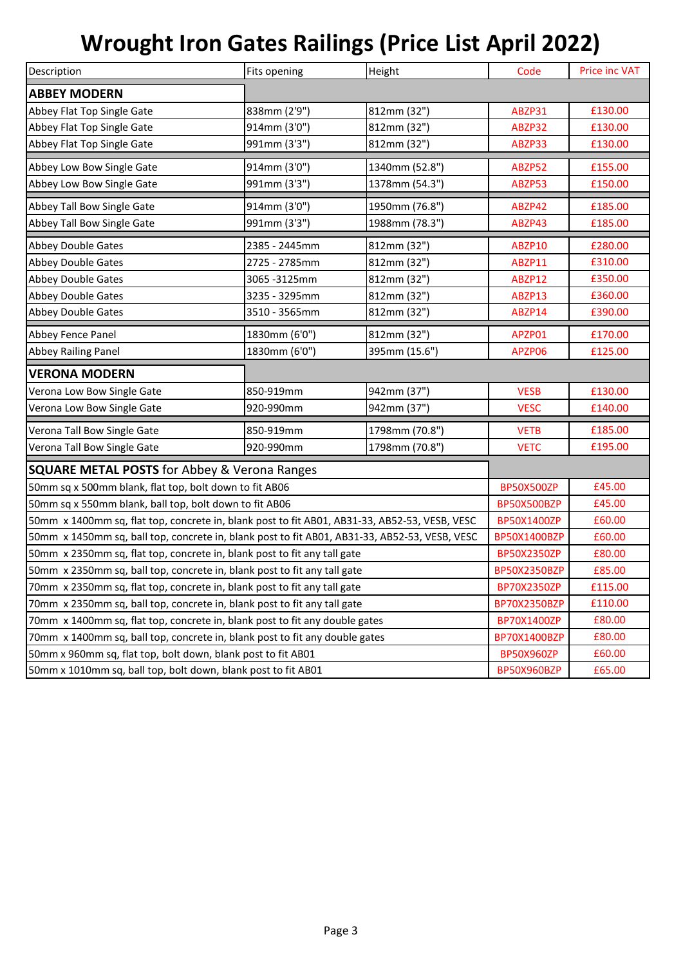| Description                                                                                   | Fits opening  | Height         | Code                | <b>Price inc VAT</b> |
|-----------------------------------------------------------------------------------------------|---------------|----------------|---------------------|----------------------|
| <b>ABBEY MODERN</b>                                                                           |               |                |                     |                      |
| Abbey Flat Top Single Gate                                                                    | 838mm (2'9")  | 812mm (32")    | ABZP31              | £130.00              |
| Abbey Flat Top Single Gate                                                                    | 914mm (3'0")  | 812mm (32")    | ABZP32              | £130.00              |
| Abbey Flat Top Single Gate                                                                    | 991mm (3'3")  | 812mm (32")    | ABZP33              | £130.00              |
| Abbey Low Bow Single Gate                                                                     | 914mm (3'0")  | 1340mm (52.8") | ABZP52              | £155.00              |
| Abbey Low Bow Single Gate                                                                     | 991mm (3'3")  | 1378mm (54.3") | ABZP53              | £150.00              |
| Abbey Tall Bow Single Gate                                                                    | 914mm (3'0")  | 1950mm (76.8") | ABZP42              | £185.00              |
| Abbey Tall Bow Single Gate                                                                    | 991mm (3'3")  | 1988mm (78.3") | ABZP43              | £185.00              |
| Abbey Double Gates                                                                            | 2385 - 2445mm | 812mm (32")    | ABZP10              | £280.00              |
| <b>Abbey Double Gates</b>                                                                     | 2725 - 2785mm | 812mm (32")    | ABZP11              | £310.00              |
| <b>Abbey Double Gates</b>                                                                     | 3065-3125mm   | 812mm (32")    | ABZP12              | £350.00              |
| Abbey Double Gates                                                                            | 3235 - 3295mm | 812mm (32")    | ABZP13              | £360.00              |
| <b>Abbey Double Gates</b>                                                                     | 3510 - 3565mm | 812mm (32")    | ABZP14              | £390.00              |
| Abbey Fence Panel                                                                             | 1830mm (6'0") | 812mm (32")    | APZP01              | £170.00              |
| Abbey Railing Panel                                                                           | 1830mm (6'0") | 395mm (15.6")  | APZP06              | £125.00              |
| <b>VERONA MODERN</b>                                                                          |               |                |                     |                      |
| Verona Low Bow Single Gate                                                                    | 850-919mm     | 942mm (37")    | <b>VESB</b>         | £130.00              |
| Verona Low Bow Single Gate                                                                    | 920-990mm     | 942mm (37")    | <b>VESC</b>         | £140.00              |
| Verona Tall Bow Single Gate                                                                   | 850-919mm     | 1798mm (70.8") | <b>VETB</b>         | £185.00              |
| Verona Tall Bow Single Gate                                                                   | 920-990mm     | 1798mm (70.8") | <b>VETC</b>         | £195.00              |
| <b>SQUARE METAL POSTS</b> for Abbey & Verona Ranges                                           |               |                |                     |                      |
| 50mm sq x 500mm blank, flat top, bolt down to fit AB06                                        |               |                | <b>BP50X500ZP</b>   | £45.00               |
| 50mm sq x 550mm blank, ball top, bolt down to fit AB06                                        |               |                | BP50X500BZP         | £45.00               |
| 50mm x 1400mm sq, flat top, concrete in, blank post to fit AB01, AB31-33, AB52-53, VESB, VESC |               |                | BP50X1400ZP         | £60.00               |
| 50mm x 1450mm sq, ball top, concrete in, blank post to fit AB01, AB31-33, AB52-53, VESB, VESC |               |                | BP50X1400BZP        | £60.00               |
| 50mm x 2350mm sq, flat top, concrete in, blank post to fit any tall gate                      |               |                | <b>BP50X2350ZP</b>  | £80.00               |
| 50mm x 2350mm sq, ball top, concrete in, blank post to fit any tall gate                      |               |                | <b>BP50X2350BZP</b> | £85.00               |
| 70mm x 2350mm sq, flat top, concrete in, blank post to fit any tall gate                      |               |                | <b>BP70X2350ZP</b>  | £115.00              |
| 70mm x 2350mm sq, ball top, concrete in, blank post to fit any tall gate                      |               |                | <b>BP70X2350BZP</b> | £110.00              |
| 70mm x 1400mm sq, flat top, concrete in, blank post to fit any double gates                   |               |                | BP70X1400ZP         | £80.00               |
| 70mm x 1400mm sq, ball top, concrete in, blank post to fit any double gates                   |               |                | BP70X1400BZP        | £80.00               |
| 50mm x 960mm sq, flat top, bolt down, blank post to fit AB01                                  |               |                | <b>BP50X960ZP</b>   | £60.00               |
| 50mm x 1010mm sq, ball top, bolt down, blank post to fit AB01                                 |               |                | BP50X960BZP         | £65.00               |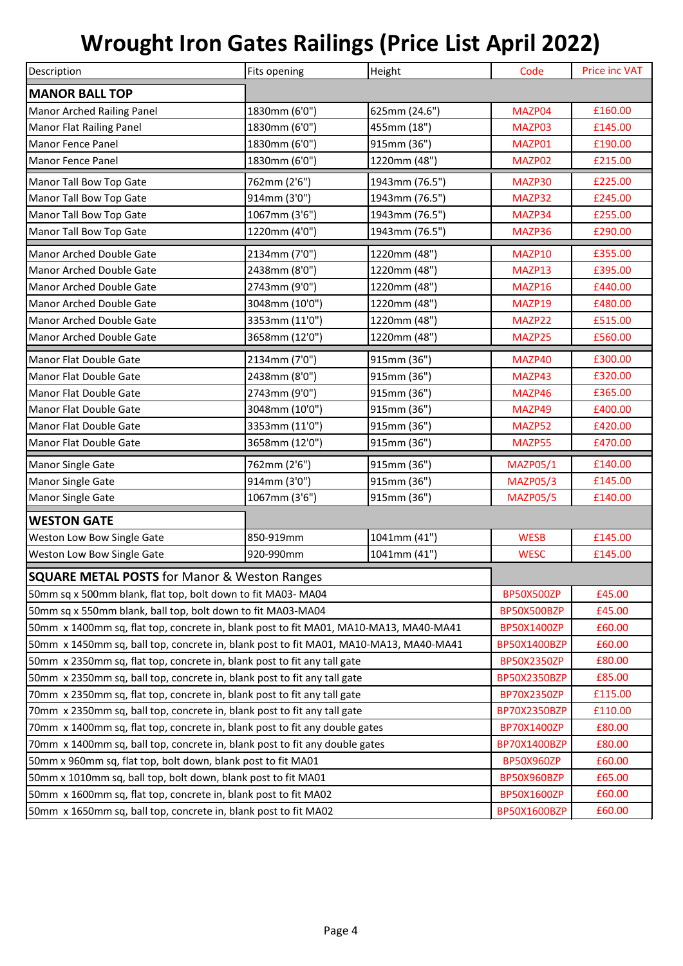| Description                                                                           | Fits opening   | Height         | Code                | <b>Price inc VAT</b> |
|---------------------------------------------------------------------------------------|----------------|----------------|---------------------|----------------------|
| <b>MANOR BALL TOP</b>                                                                 |                |                |                     |                      |
| <b>Manor Arched Railing Panel</b>                                                     | 1830mm (6'0")  | 625mm (24.6")  | MAZP04              | £160.00              |
| Manor Flat Railing Panel                                                              | 1830mm (6'0")  | 455mm (18")    | MAZP03              | £145.00              |
| Manor Fence Panel                                                                     | 1830mm (6'0")  | 915mm (36")    | MAZP01              | £190.00              |
| <b>Manor Fence Panel</b>                                                              | 1830mm (6'0")  | 1220mm (48")   | MAZP02              | £215.00              |
| Manor Tall Bow Top Gate                                                               | 762mm (2'6")   | 1943mm (76.5") | MAZP30              | £225.00              |
| Manor Tall Bow Top Gate                                                               | 914mm (3'0")   | 1943mm (76.5") | MAZP32              | £245.00              |
| Manor Tall Bow Top Gate                                                               | 1067mm (3'6")  | 1943mm (76.5") | MAZP34              | £255.00              |
| Manor Tall Bow Top Gate                                                               | 1220mm (4'0")  | 1943mm (76.5") | MAZP36              | £290.00              |
| <b>Manor Arched Double Gate</b>                                                       | 2134mm (7'0")  | 1220mm (48")   | MAZP10              | £355.00              |
| <b>Manor Arched Double Gate</b>                                                       | 2438mm (8'0")  | 1220mm (48")   | MAZP13              | £395.00              |
| Manor Arched Double Gate                                                              | 2743mm (9'0")  | 1220mm (48")   | MAZP16              | £440.00              |
| Manor Arched Double Gate                                                              | 3048mm (10'0") | 1220mm (48")   | MAZP19              | £480.00              |
| Manor Arched Double Gate                                                              | 3353mm (11'0") | 1220mm (48")   | MAZP22              | £515.00              |
| Manor Arched Double Gate                                                              | 3658mm (12'0") | 1220mm (48")   | MAZP25              | £560.00              |
| Manor Flat Double Gate                                                                | 2134mm (7'0")  | 915mm (36")    | MAZP40              | £300.00              |
| Manor Flat Double Gate                                                                | 2438mm (8'0")  | 915mm (36")    | MAZP43              | £320.00              |
| Manor Flat Double Gate                                                                | 2743mm (9'0")  | 915mm (36")    | MAZP46              | £365.00              |
| Manor Flat Double Gate                                                                | 3048mm (10'0") | 915mm (36")    | MAZP49              | £400.00              |
| Manor Flat Double Gate                                                                | 3353mm (11'0") | 915mm (36")    | MAZP52              | £420.00              |
| Manor Flat Double Gate                                                                | 3658mm (12'0") | 915mm (36")    | MAZP55              | £470.00              |
| <b>Manor Single Gate</b>                                                              | 762mm (2'6")   | 915mm (36")    | <b>MAZP05/1</b>     | £140.00              |
| <b>Manor Single Gate</b>                                                              | 914mm (3'0")   | 915mm (36")    | <b>MAZP05/3</b>     | £145.00              |
| Manor Single Gate                                                                     | 1067mm (3'6")  | 915mm (36")    | <b>MAZP05/5</b>     | £140.00              |
| <b>WESTON GATE</b>                                                                    |                |                |                     |                      |
| Weston Low Bow Single Gate                                                            | 850-919mm      | 1041mm (41")   | <b>WESB</b>         | £145.00              |
| Weston Low Bow Single Gate                                                            | 920-990mm      | 1041mm (41")   | <b>WESC</b>         | £145.00              |
| <b>SQUARE METAL POSTS</b> for Manor & Weston Ranges                                   |                |                |                     |                      |
| 50mm sq x 500mm blank, flat top, bolt down to fit MA03-MA04                           |                |                | <b>BP50X500ZP</b>   | £45.00               |
| 50mm sq x 550mm blank, ball top, bolt down to fit MA03-MA04                           |                |                | BP50X500BZP         | £45.00               |
| 50mm x 1400mm sq, flat top, concrete in, blank post to fit MA01, MA10-MA13, MA40-MA41 |                |                | BP50X1400ZP         | £60.00               |
| 50mm x 1450mm sq, ball top, concrete in, blank post to fit MA01, MA10-MA13, MA40-MA41 |                |                | BP50X1400BZP        | £60.00               |
| 50mm x 2350mm sq, flat top, concrete in, blank post to fit any tall gate              |                |                | <b>BP50X2350ZP</b>  | £80.00               |
| 50mm x 2350mm sq, ball top, concrete in, blank post to fit any tall gate              |                |                | <b>BP50X2350BZP</b> | £85.00               |
| 70mm x 2350mm sq, flat top, concrete in, blank post to fit any tall gate              |                |                | BP70X2350ZP         | £115.00              |
| 70mm x 2350mm sq, ball top, concrete in, blank post to fit any tall gate              |                |                | <b>BP70X2350BZP</b> | £110.00              |
| 70mm x 1400mm sq, flat top, concrete in, blank post to fit any double gates           |                |                | BP70X1400ZP         | £80.00               |
| 70mm x 1400mm sq, ball top, concrete in, blank post to fit any double gates           |                |                | BP70X1400BZP        | £80.00               |
| 50mm x 960mm sq, flat top, bolt down, blank post to fit MA01                          |                |                | <b>BP50X960ZP</b>   | £60.00               |
| 50mm x 1010mm sq, ball top, bolt down, blank post to fit MA01                         |                |                | <b>BP50X960BZP</b>  | £65.00               |
| 50mm x 1600mm sq, flat top, concrete in, blank post to fit MA02                       |                |                | BP50X1600ZP         | £60.00               |
| 50mm x 1650mm sq, ball top, concrete in, blank post to fit MA02                       |                |                |                     | £60.00               |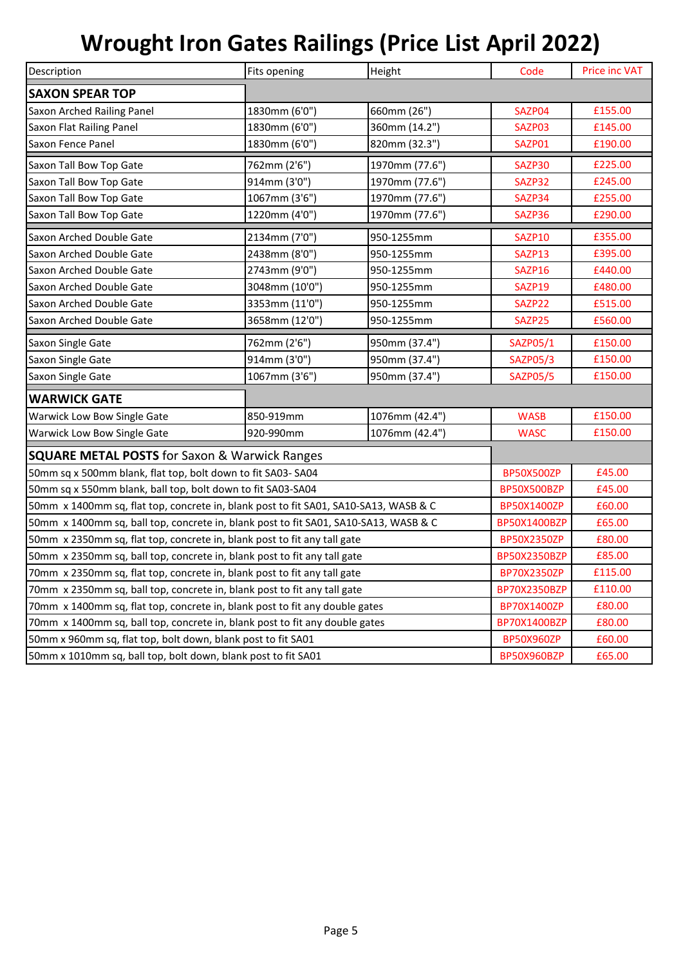| Description                                                                          | Fits opening   | Height         | Code                | <b>Price inc VAT</b> |  |  |
|--------------------------------------------------------------------------------------|----------------|----------------|---------------------|----------------------|--|--|
| <b>SAXON SPEAR TOP</b>                                                               |                |                |                     |                      |  |  |
| Saxon Arched Railing Panel                                                           | 1830mm (6'0")  | 660mm (26")    | SAZP04              | £155.00              |  |  |
| Saxon Flat Railing Panel                                                             | 1830mm (6'0")  | 360mm (14.2")  | SAZP03              | £145.00              |  |  |
| Saxon Fence Panel                                                                    | 1830mm (6'0")  | 820mm (32.3")  | SAZP01              | £190.00              |  |  |
| Saxon Tall Bow Top Gate                                                              | 762mm (2'6")   | 1970mm (77.6") | SAZP30              | £225.00              |  |  |
| Saxon Tall Bow Top Gate                                                              | 914mm (3'0")   | 1970mm (77.6") | SAZP32              | £245.00              |  |  |
| Saxon Tall Bow Top Gate                                                              | 1067mm (3'6")  | 1970mm (77.6") | SAZP34              | £255.00              |  |  |
| Saxon Tall Bow Top Gate                                                              | 1220mm (4'0")  | 1970mm (77.6") | SAZP36              | £290.00              |  |  |
| Saxon Arched Double Gate                                                             | 2134mm (7'0")  | 950-1255mm     | SAZP10              | £355.00              |  |  |
| Saxon Arched Double Gate                                                             | 2438mm (8'0")  | 950-1255mm     | SAZP13              | £395.00              |  |  |
| Saxon Arched Double Gate                                                             | 2743mm (9'0")  | 950-1255mm     | SAZP16              | £440.00              |  |  |
| Saxon Arched Double Gate                                                             | 3048mm (10'0") | 950-1255mm     | SAZP19              | £480.00              |  |  |
| Saxon Arched Double Gate                                                             | 3353mm (11'0") | 950-1255mm     | SAZP22              | £515.00              |  |  |
| Saxon Arched Double Gate                                                             | 3658mm (12'0") | 950-1255mm     | SAZP25              | £560.00              |  |  |
| Saxon Single Gate                                                                    | 762mm (2'6")   | 950mm (37.4")  | SAZP05/1            | £150.00              |  |  |
| Saxon Single Gate                                                                    | 914mm (3'0")   | 950mm (37.4")  | <b>SAZP05/3</b>     | £150.00              |  |  |
| Saxon Single Gate                                                                    | 1067mm (3'6")  | 950mm (37.4")  | <b>SAZP05/5</b>     | £150.00              |  |  |
| <b>WARWICK GATE</b>                                                                  |                |                |                     |                      |  |  |
| Warwick Low Bow Single Gate                                                          | 850-919mm      | 1076mm (42.4") | <b>WASB</b>         | £150.00              |  |  |
| Warwick Low Bow Single Gate                                                          | 920-990mm      | 1076mm (42.4") | <b>WASC</b>         | £150.00              |  |  |
| <b>SQUARE METAL POSTS</b> for Saxon & Warwick Ranges                                 |                |                |                     |                      |  |  |
| 50mm sq x 500mm blank, flat top, bolt down to fit SA03-SA04                          |                |                | <b>BP50X500ZP</b>   | £45.00               |  |  |
| 50mm sq x 550mm blank, ball top, bolt down to fit SA03-SA04                          |                |                | BP50X500BZP         | £45.00               |  |  |
| 50mm x 1400mm sq, flat top, concrete in, blank post to fit SA01, SA10-SA13, WASB & C |                |                | BP50X1400ZP         | £60.00               |  |  |
| 50mm x 1400mm sq, ball top, concrete in, blank post to fit SA01, SA10-SA13, WASB & C |                |                | BP50X1400BZP        | £65.00               |  |  |
| 50mm x 2350mm sq, flat top, concrete in, blank post to fit any tall gate             |                |                | <b>BP50X2350ZP</b>  | £80.00               |  |  |
| 50mm x 2350mm sq, ball top, concrete in, blank post to fit any tall gate             |                |                | <b>BP50X2350BZP</b> | £85.00               |  |  |
| 70mm x 2350mm sq, flat top, concrete in, blank post to fit any tall gate             |                |                | <b>BP70X2350ZP</b>  | £115.00              |  |  |
| 70mm x 2350mm sq, ball top, concrete in, blank post to fit any tall gate             |                |                | BP70X2350BZP        | £110.00              |  |  |
| 70mm x 1400mm sq, flat top, concrete in, blank post to fit any double gates          |                |                | BP70X1400ZP         | £80.00               |  |  |
| 70mm x 1400mm sq, ball top, concrete in, blank post to fit any double gates          |                |                | BP70X1400BZP        | £80.00               |  |  |
| 50mm x 960mm sq, flat top, bolt down, blank post to fit SA01                         |                |                | <b>BP50X960ZP</b>   | £60.00               |  |  |
| 50mm x 1010mm sq, ball top, bolt down, blank post to fit SA01                        |                |                | BP50X960BZP         | £65.00               |  |  |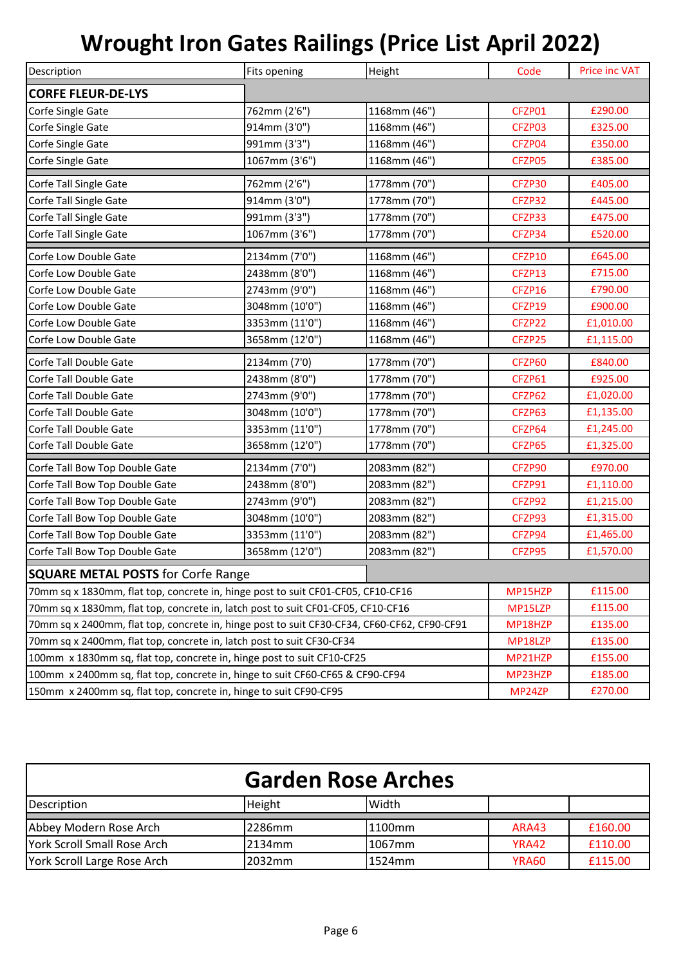| Description                                                                                 | Fits opening   | Height       | Code    | <b>Price inc VAT</b> |
|---------------------------------------------------------------------------------------------|----------------|--------------|---------|----------------------|
| <b>CORFE FLEUR-DE-LYS</b>                                                                   |                |              |         |                      |
| Corfe Single Gate                                                                           | 762mm (2'6")   | 1168mm (46") | CFZP01  | £290.00              |
| Corfe Single Gate                                                                           | 914mm (3'0")   | 1168mm (46") | CFZP03  | £325.00              |
| Corfe Single Gate                                                                           | 991mm (3'3")   | 1168mm (46") | CFZP04  | £350.00              |
| Corfe Single Gate                                                                           | 1067mm (3'6")  | 1168mm (46") | CFZP05  | £385.00              |
| Corfe Tall Single Gate                                                                      | 762mm (2'6")   | 1778mm (70") | CFZP30  | £405.00              |
| Corfe Tall Single Gate                                                                      | 914mm (3'0")   | 1778mm (70") | CFZP32  | £445.00              |
| Corfe Tall Single Gate                                                                      | 991mm (3'3")   | 1778mm (70") | CFZP33  | £475.00              |
| Corfe Tall Single Gate                                                                      | 1067mm (3'6")  | 1778mm (70") | CFZP34  | £520.00              |
| Corfe Low Double Gate                                                                       | 2134mm (7'0")  | 1168mm (46") | CFZP10  | £645.00              |
| Corfe Low Double Gate                                                                       | 2438mm (8'0")  | 1168mm (46") | CFZP13  | £715.00              |
| Corfe Low Double Gate                                                                       | 2743mm (9'0")  | 1168mm (46") | CFZP16  | £790.00              |
| Corfe Low Double Gate                                                                       | 3048mm (10'0") | 1168mm (46") | CFZP19  | £900.00              |
| Corfe Low Double Gate                                                                       | 3353mm (11'0") | 1168mm (46") | CFZP22  | £1,010.00            |
| Corfe Low Double Gate                                                                       | 3658mm (12'0") | 1168mm (46") | CFZP25  | £1,115.00            |
| Corfe Tall Double Gate                                                                      | 2134mm (7'0)   | 1778mm (70") | CFZP60  | £840.00              |
| Corfe Tall Double Gate                                                                      | 2438mm (8'0")  | 1778mm (70") | CFZP61  | £925.00              |
| Corfe Tall Double Gate                                                                      | 2743mm (9'0")  | 1778mm (70") | CFZP62  | £1,020.00            |
| Corfe Tall Double Gate                                                                      | 3048mm (10'0") | 1778mm (70") | CFZP63  | £1,135.00            |
| Corfe Tall Double Gate                                                                      | 3353mm (11'0") | 1778mm (70") | CFZP64  | £1,245.00            |
| Corfe Tall Double Gate                                                                      | 3658mm (12'0") | 1778mm (70") | CFZP65  | £1,325.00            |
| Corfe Tall Bow Top Double Gate                                                              | 2134mm (7'0")  | 2083mm (82") | CFZP90  | £970.00              |
| Corfe Tall Bow Top Double Gate                                                              | 2438mm (8'0")  | 2083mm (82") | CFZP91  | £1,110.00            |
| Corfe Tall Bow Top Double Gate                                                              | 2743mm (9'0")  | 2083mm (82") | CFZP92  | £1,215.00            |
| Corfe Tall Bow Top Double Gate                                                              | 3048mm (10'0") | 2083mm (82") | CFZP93  | £1,315.00            |
| Corfe Tall Bow Top Double Gate                                                              | 3353mm (11'0") | 2083mm (82") | CFZP94  | £1,465.00            |
| Corfe Tall Bow Top Double Gate                                                              | 3658mm (12'0") | 2083mm (82") | CFZP95  | £1,570.00            |
| <b>SQUARE METAL POSTS for Corfe Range</b>                                                   |                |              |         |                      |
| 70mm sq x 1830mm, flat top, concrete in, hinge post to suit CF01-CF05, CF10-CF16            |                |              | MP15HZP | £115.00              |
| 70mm sq x 1830mm, flat top, concrete in, latch post to suit CF01-CF05, CF10-CF16            |                |              | MP15LZP | £115.00              |
| 70mm sq x 2400mm, flat top, concrete in, hinge post to suit CF30-CF34, CF60-CF62, CF90-CF91 |                |              | MP18HZP | £135.00              |
| 70mm sq x 2400mm, flat top, concrete in, latch post to suit CF30-CF34                       |                |              | MP18LZP | £135.00              |
| 100mm x 1830mm sq, flat top, concrete in, hinge post to suit CF10-CF25                      |                |              | MP21HZP | £155.00              |
| 100mm x 2400mm sq, flat top, concrete in, hinge to suit CF60-CF65 & CF90-CF94               |                |              | MP23HZP | £185.00              |
| 150mm x 2400mm sq, flat top, concrete in, hinge to suit CF90-CF95                           |                |              | MP24ZP  | £270.00              |

| <b>Garden Rose Arches</b>   |        |                    |       |         |  |
|-----------------------------|--------|--------------------|-------|---------|--|
| Description                 | Height | Width              |       |         |  |
| Abbey Modern Rose Arch      | 2286mm | 1100mm             | ARA43 | £160.00 |  |
| York Scroll Small Rose Arch | 2134mm | 1067 <sub>mm</sub> | YRA42 | £110.00 |  |
| York Scroll Large Rose Arch | 2032mm | 1524mm             | YRA60 | £115.00 |  |